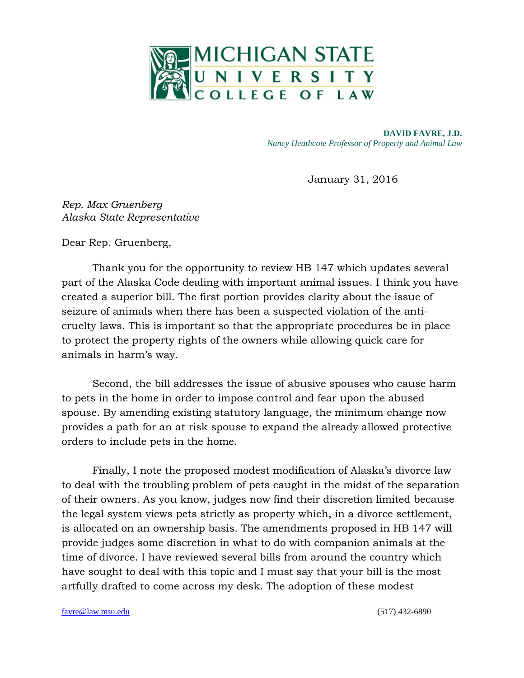

**DAVID FAVRE, J.D.** *Nancy Heathcote Professor of Property and Animal Law* 

January 31, 2016

*Rep. Max Gruenberg Alaska State Representative*

Dear Rep. Gruenberg,

Thank you for the opportunity to review HB 147 which updates several part of the Alaska Code dealing with important animal issues. I think you have created a superior bill. The first portion provides clarity about the issue of seizure of animals when there has been a suspected violation of the anticruelty laws. This is important so that the appropriate procedures be in place to protect the property rights of the owners while allowing quick care for animals in harm's way.

Second, the bill addresses the issue of abusive spouses who cause harm to pets in the home in order to impose control and fear upon the abused spouse. By amending existing statutory language, the minimum change now provides a path for an at risk spouse to expand the already allowed protective orders to include pets in the home.

Finally, I note the proposed modest modification of Alaska's divorce law to deal with the troubling problem of pets caught in the midst of the separation of their owners. As you know, judges now find their discretion limited because the legal system views pets strictly as property which, in a divorce settlement, is allocated on an ownership basis. The amendments proposed in HB 147 will provide judges some discretion in what to do with companion animals at the time of divorce. I have reviewed several bills from around the country which have sought to deal with this topic and I must say that your bill is the most artfully drafted to come across my desk. The adoption of these modest

[favre@law.msu.edu](mailto:favre@law.msu.edu) (517) 432-6890